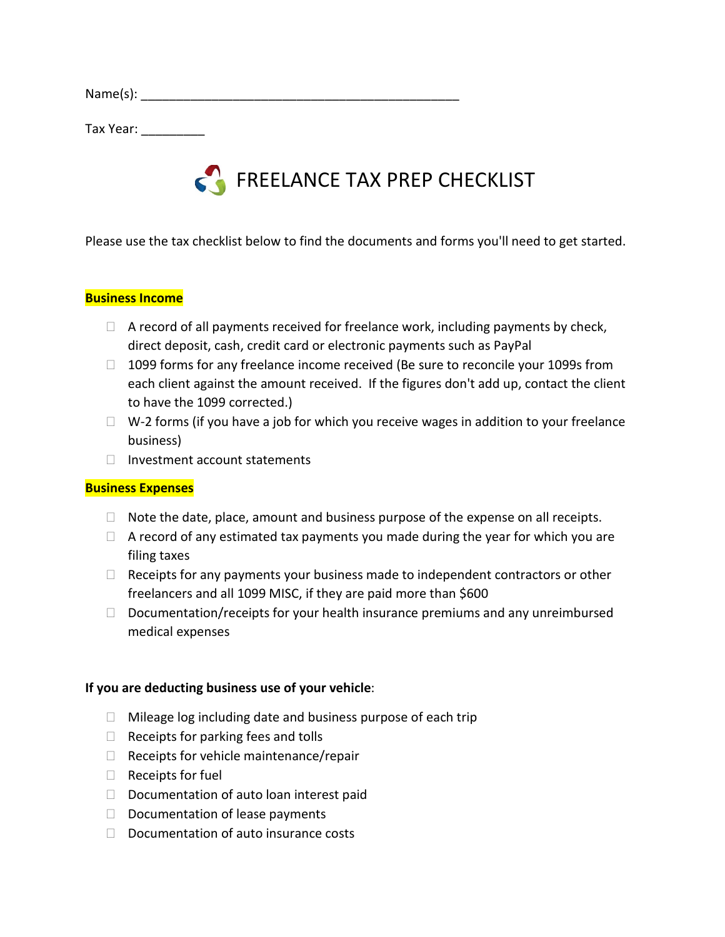Name(s): \_\_\_\_\_\_\_\_\_\_\_\_\_\_\_\_\_\_\_\_\_\_\_\_\_\_\_\_\_\_\_\_\_\_\_\_\_\_\_\_\_\_\_\_\_

Tax Year: \_\_\_\_\_\_\_\_\_



Please use the tax checklist below to find the documents and forms you'll need to get started.

### **Business Income**

- $\Box$  A record of all payments received for freelance work, including payments by check, direct deposit, cash, credit card or electronic payments such as PayPal
- $\Box$  1099 forms for any freelance income received (Be sure to reconcile your 1099s from each client against the amount received. If the figures don't add up, contact the client to have the 1099 corrected.)
- $\Box$  W-2 forms (if you have a job for which you receive wages in addition to your freelance business)
- $\Box$  Investment account statements

# **Business Expenses**

- $\Box$  Note the date, place, amount and business purpose of the expense on all receipts.
- $\Box$  A record of any estimated tax payments you made during the year for which you are filing taxes
- $\Box$  Receipts for any payments your business made to independent contractors or other freelancers and all 1099 MISC, if they are paid more than \$600
- $\Box$  Documentation/receipts for your health insurance premiums and any unreimbursed medical expenses

#### **If you are deducting business use of your vehicle**:

- $\Box$  Mileage log including date and business purpose of each trip
- $\Box$  Receipts for parking fees and tolls
- $\Box$  Receipts for vehicle maintenance/repair
- $\Box$  Receipts for fuel
- $\Box$  Documentation of auto loan interest paid
- $\Box$  Documentation of lease payments
- $\Box$  Documentation of auto insurance costs